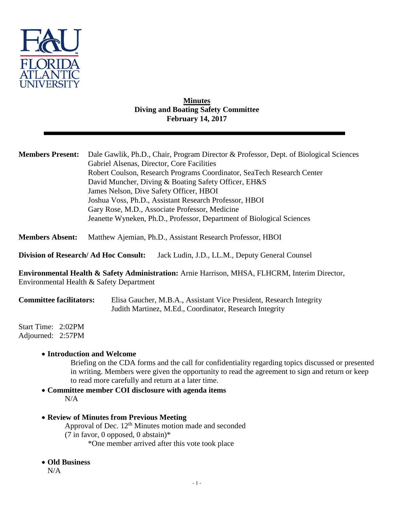

## **Minutes Diving and Boating Safety Committee February 14, 2017**

| <b>Members Present:</b>                                                                        | Dale Gawlik, Ph.D., Chair, Program Director & Professor, Dept. of Biological Sciences<br>Gabriel Alsenas, Director, Core Facilities<br>Robert Coulson, Research Programs Coordinator, SeaTech Research Center<br>David Muncher, Diving & Boating Safety Officer, EH&S<br>James Nelson, Dive Safety Officer, HBOI<br>Joshua Voss, Ph.D., Assistant Research Professor, HBOI<br>Gary Rose, M.D., Associate Professor, Medicine |
|------------------------------------------------------------------------------------------------|------------------------------------------------------------------------------------------------------------------------------------------------------------------------------------------------------------------------------------------------------------------------------------------------------------------------------------------------------------------------------------------------------------------------------|
|                                                                                                | Jeanette Wyneken, Ph.D., Professor, Department of Biological Sciences                                                                                                                                                                                                                                                                                                                                                        |
| <b>Members Absent:</b>                                                                         | Matthew Ajemian, Ph.D., Assistant Research Professor, HBOI                                                                                                                                                                                                                                                                                                                                                                   |
| <b>Division of Research/Ad Hoc Consult:</b><br>Jack Ludin, J.D., LL.M., Deputy General Counsel |                                                                                                                                                                                                                                                                                                                                                                                                                              |
|                                                                                                | <b>Environmental Health &amp; Safety Administration:</b> Arnie Harrison, MHSA, FLHCRM, Interim Director,<br>Environmental Health & Safety Department                                                                                                                                                                                                                                                                         |
|                                                                                                | $\alpha$ in $\alpha$ is $\alpha$ if $\alpha$ if $\alpha$ if $\alpha$                                                                                                                                                                                                                                                                                                                                                         |

**Committee facilitators:** Elisa Gaucher, M.B.A., Assistant Vice President, Research Integrity Judith Martinez, M.Ed., Coordinator, Research Integrity

Start Time: 2:02PM Adjourned: 2:57PM

## **Introduction and Welcome**

Briefing on the CDA forms and the call for confidentiality regarding topics discussed or presented in writing. Members were given the opportunity to read the agreement to sign and return or keep to read more carefully and return at a later time.

- **Committee member COI disclosure with agenda items** N/A
- **Review of Minutes from Previous Meeting** Approval of Dec. 12<sup>th</sup> Minutes motion made and seconded (7 in favor, 0 opposed, 0 abstain)\* \*One member arrived after this vote took place
- **Old Business**

N/A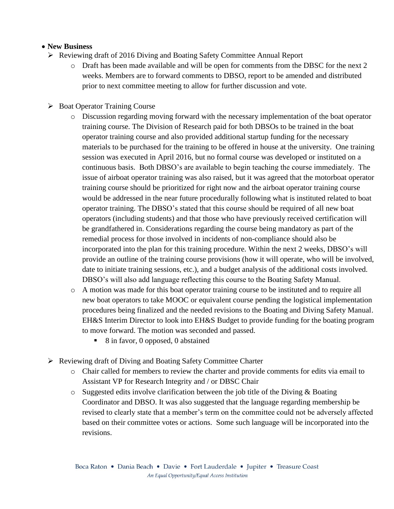## **New Business**

- Reviewing draft of 2016 Diving and Boating Safety Committee Annual Report
	- o Draft has been made available and will be open for comments from the DBSC for the next 2 weeks. Members are to forward comments to DBSO, report to be amended and distributed prior to next committee meeting to allow for further discussion and vote.
- $\triangleright$  Boat Operator Training Course
	- o Discussion regarding moving forward with the necessary implementation of the boat operator training course. The Division of Research paid for both DBSOs to be trained in the boat operator training course and also provided additional startup funding for the necessary materials to be purchased for the training to be offered in house at the university. One training session was executed in April 2016, but no formal course was developed or instituted on a continuous basis. Both DBSO's are available to begin teaching the course immediately. The issue of airboat operator training was also raised, but it was agreed that the motorboat operator training course should be prioritized for right now and the airboat operator training course would be addressed in the near future procedurally following what is instituted related to boat operator training. The DBSO's stated that this course should be required of all new boat operators (including students) and that those who have previously received certification will be grandfathered in. Considerations regarding the course being mandatory as part of the remedial process for those involved in incidents of non-compliance should also be incorporated into the plan for this training procedure. Within the next 2 weeks, DBSO's will provide an outline of the training course provisions (how it will operate, who will be involved, date to initiate training sessions, etc.), and a budget analysis of the additional costs involved. DBSO's will also add language reflecting this course to the Boating Safety Manual.
	- o A motion was made for this boat operator training course to be instituted and to require all new boat operators to take MOOC or equivalent course pending the logistical implementation procedures being finalized and the needed revisions to the Boating and Diving Safety Manual. EH&S Interim Director to look into EH&S Budget to provide funding for the boating program to move forward. The motion was seconded and passed.
		- 8 in favor, 0 opposed, 0 abstained
- Reviewing draft of Diving and Boating Safety Committee Charter
	- o Chair called for members to review the charter and provide comments for edits via email to Assistant VP for Research Integrity and / or DBSC Chair
	- $\circ$  Suggested edits involve clarification between the job title of the Diving & Boating Coordinator and DBSO. It was also suggested that the language regarding membership be revised to clearly state that a member's term on the committee could not be adversely affected based on their committee votes or actions. Some such language will be incorporated into the revisions.